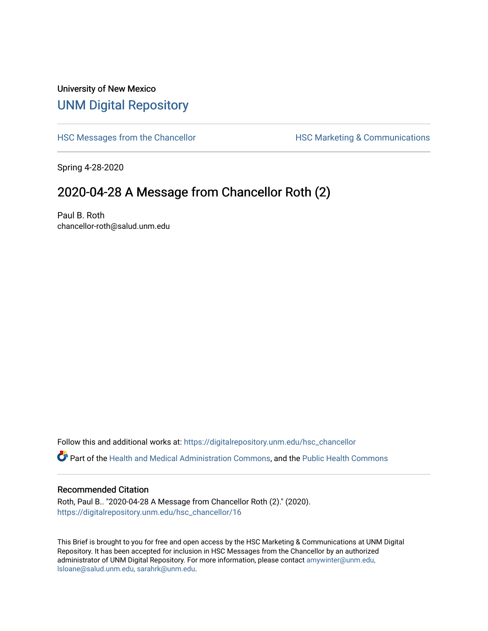## University of New Mexico [UNM Digital Repository](https://digitalrepository.unm.edu/)

[HSC Messages from the Chancellor](https://digitalrepository.unm.edu/hsc_chancellor) **HSC Marketing & Communications** 

Spring 4-28-2020

## 2020-04-28 A Message from Chancellor Roth (2)

Paul B. Roth chancellor-roth@salud.unm.edu

Follow this and additional works at: [https://digitalrepository.unm.edu/hsc\\_chancellor](https://digitalrepository.unm.edu/hsc_chancellor?utm_source=digitalrepository.unm.edu%2Fhsc_chancellor%2F16&utm_medium=PDF&utm_campaign=PDFCoverPages) 

Part of the [Health and Medical Administration Commons](http://network.bepress.com/hgg/discipline/663?utm_source=digitalrepository.unm.edu%2Fhsc_chancellor%2F16&utm_medium=PDF&utm_campaign=PDFCoverPages), and the [Public Health Commons](http://network.bepress.com/hgg/discipline/738?utm_source=digitalrepository.unm.edu%2Fhsc_chancellor%2F16&utm_medium=PDF&utm_campaign=PDFCoverPages) 

## Recommended Citation

Roth, Paul B.. "2020-04-28 A Message from Chancellor Roth (2)." (2020). [https://digitalrepository.unm.edu/hsc\\_chancellor/16](https://digitalrepository.unm.edu/hsc_chancellor/16?utm_source=digitalrepository.unm.edu%2Fhsc_chancellor%2F16&utm_medium=PDF&utm_campaign=PDFCoverPages)

This Brief is brought to you for free and open access by the HSC Marketing & Communications at UNM Digital Repository. It has been accepted for inclusion in HSC Messages from the Chancellor by an authorized administrator of UNM Digital Repository. For more information, please contact [amywinter@unm.edu,](mailto:amywinter@unm.edu,%20lsloane@salud.unm.edu,%20sarahrk@unm.edu) [lsloane@salud.unm.edu, sarahrk@unm.edu.](mailto:amywinter@unm.edu,%20lsloane@salud.unm.edu,%20sarahrk@unm.edu)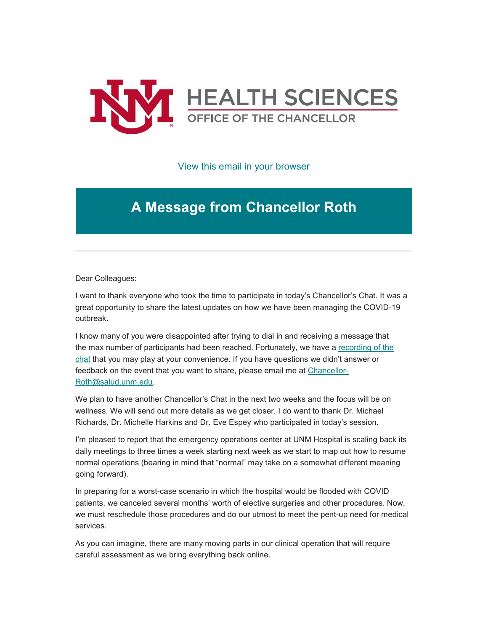

[View this email in your browser](https://mailchi.mp/ab6a3430bcbb/message-from-the-chancellor-coronavirus-4400552?e=b4bbfca2c0)

## **A Message from Chancellor Roth**

Dear Colleagues:

I want to thank everyone who took the time to participate in today's Chancellor's Chat. It was a great opportunity to share the latest updates on how we have been managing the COVID-19 outbreak.

I know many of you were disappointed after trying to dial in and receiving a message that the max number of participants had been reached. Fortunately, we have a [recording of the](https://unm.us19.list-manage.com/track/click?u=59ce53c1a4dedb490bac78648&id=f882bfe797&e=b4bbfca2c0)  [chat](https://unm.us19.list-manage.com/track/click?u=59ce53c1a4dedb490bac78648&id=f882bfe797&e=b4bbfca2c0) that you may play at your convenience. If you have questions we didn't answer or feedback on the event that you want to share, please email me at [Chancellor-](mailto:Chancellor-Roth@salud.unm.edu)[Roth@salud.unm.edu.](mailto:Chancellor-Roth@salud.unm.edu)

We plan to have another Chancellor's Chat in the next two weeks and the focus will be on wellness. We will send out more details as we get closer. I do want to thank Dr. Michael Richards, Dr. Michelle Harkins and Dr. Eve Espey who participated in today's session.

I'm pleased to report that the emergency operations center at UNM Hospital is scaling back its daily meetings to three times a week starting next week as we start to map out how to resume normal operations (bearing in mind that "normal" may take on a somewhat different meaning going forward).

In preparing for a worst-case scenario in which the hospital would be flooded with COVID patients, we canceled several months' worth of elective surgeries and other procedures. Now, we must reschedule those procedures and do our utmost to meet the pent-up need for medical services.

As you can imagine, there are many moving parts in our clinical operation that will require careful assessment as we bring everything back online.